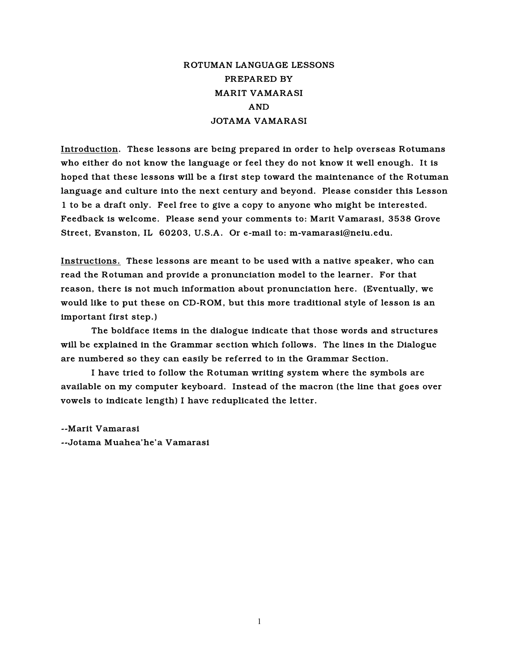# ROTUMAN LANGUAGE LESSONS PREPARED BY MARIT VAMARASI AND JOTAMA VAMARASI

Introduction. These lessons are being prepared in order to help overseas Rotumans who either do not know the language or feel they do not know it well enough. It is hoped that these lessons will be a first step toward the maintenance of the Rotuman language and culture into the next century and beyond. Please consider this Lesson 1 to be a draft only. Feel free to give a copy to anyone who might be interested. Feedback is welcome. Please send your comments to: Marit Vamarasi, 3538 Grove Street, Evanston, IL 60203, U.S.A. Or e-mail to: m-vamarasi@neiu.edu.

Instructions. These lessons are meant to be used with a native speaker, who can read the Rotuman and provide a pronunciation model to the learner. For that reason, there is not much information about pronunciation here. (Eventually, we would like to put these on CD-ROM, but this more traditional style of lesson is an important first step.)

The boldface items in the dialogue indicate that those words and structures will be explained in the Grammar section which follows. The lines in the Dialogue are numbered so they can easily be referred to in the Grammar Section.

I have tried to follow the Rotuman writing system where the symbols are available on my computer keyboard. Instead of the macron (the line that goes over vowels to indicate length) I have reduplicated the letter.

--Marit Vamarasi --Jotama Muahea'he'a Vamarasi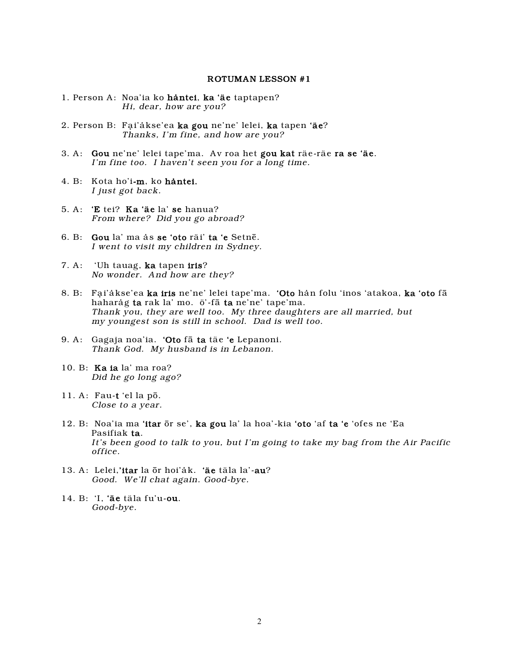#### ROTUMAN LESSON #1

- 1. Person A: Noa'ia ko håntei, ka 'äe taptapen? Hi, dear, how are you?
- 2. Person B: Fai'åkse'ea ka gou ne'ne' lelei, ka tapen 'äe? Thanks, I'm fine, and how are you?
- 3. A: Gou ne'ne' lelei tape'ma. Av roa het gou kat räe-räe ra se 'äe. I'm fine too. I haven't seen you for a long time.
- 4. B: Kota ho'i-m, ko håntei. I just got back.
- 5. A: 'E tei? Ka 'äe la' se hanua? From where? Did you go abroad?
- 6. B: Gou la' ma ås se 'oto räi' ta 'e Setnê. I went to visit my children in Sydney.
- 7. A: 'Uh tauag, ka tapen iris? No wonder. And how are they?
- 8. B: Fai'åkse'ea ka iris ne'ne' lelei tape'ma. 'Oto hån folu 'inos 'atakoa, ka 'oto fā haharåg ta rak la' mo. ö'-fâ ta ne'ne' tape'ma. Thank you, they are well too. My three daughters are all married, but my youngest son is still in school. Dad is well too.
- 9. A: Gagaja noa'ia. 'Oto fâ ta täe 'e Lepanoni. Thank God. My husband is in Lebanon.
- 10. B: Ka ia la' ma roa? Did he go long ago?
- 11. A: Fau-t 'el la pô. Close to a year.
- 12. B: Noa'ia ma 'itar ôr se', ka gou la' la hoa'-kia 'oto 'af ta 'e 'ofes ne 'Ea Pasifiak ta. It's been good to talk to you, but I'm going to take my bag from the Air Pacific office.
- 13. A: Lelei,'itar la ôr hoi'åk. 'äe täla la'-au? Good. We'll chat again. Good-bye.
- 14. B: 'I, 'äe täla fu'u-ou. Good-bye.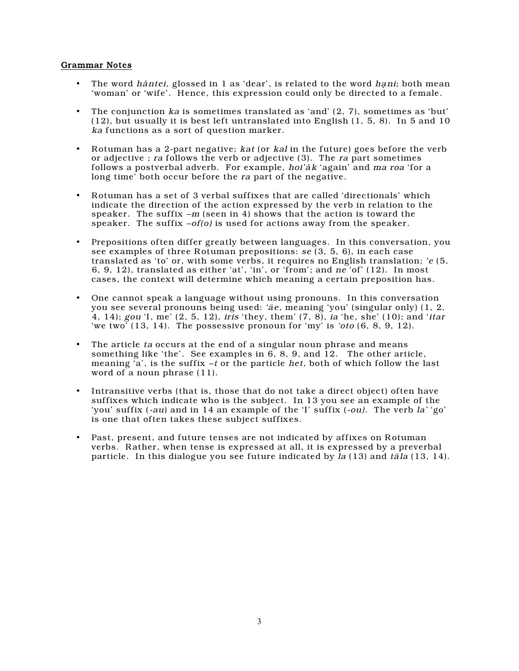### Grammar Notes

- The word hantei, glossed in 1 as 'dear', is related to the word hani; both mean 'woman' or 'wife'. Hence, this expression could only be directed to a female.
- The conjunction ka is sometimes translated as 'and' (2, 7), sometimes as 'but' (12), but usually it is best left untranslated into English (1, 5, 8). In 5 and 10 ka functions as a sort of question marker.
- Rotuman has a 2-part negative; kat (or kal in the future) goes before the verb or adjective ; ra follows the verb or adjective (3). The ra part sometimes follows a postverbal adverb. For example, hoi'ak 'again' and ma roa 'for a long time' both occur before the ra part of the negative.
- Rotuman has a set of 3 verbal suffixes that are called 'directionals' which indicate the direction of the action expressed by the verb in relation to the speaker. The suffix  $-m$  (seen in 4) shows that the action is toward the speaker. The suffix  $-of(o)$  is used for actions away from the speaker.
- Prepositions often differ greatly between languages. In this conversation, you see examples of three Rotuman prepositions:  $se(3, 5, 6)$ , in each case translated as 'to' or, with some verbs, it requires no English translation; 'e (5, 6, 9, 12), translated as either 'at', 'in', or 'from'; and  $ne$  'of' (12). In most cases, the context will determine which meaning a certain preposition has.
- One cannot speak a language without using pronouns. In this conversation you see several pronouns being used: 'äe, meaning 'you' (singular only) (1, 2, 4, 14); gou 'I, me' (2, 5, 12), iris 'they, them' (7, 8), ia 'he, she' (10); and 'itar 'we two' (13, 14). The possessive pronoun for 'my' is 'oto (6, 8, 9, 12).
- The article ta occurs at the end of a singular noun phrase and means something like 'the'. See examples in  $6, 8, 9$ , and  $12$ . The other article, meaning  $a'$ , is the suffix –t or the particle het, both of which follow the last word of a noun phrase (11).
- Intransitive verbs (that is, those that do not take a direct object) often have suffixes which indicate who is the subject. In 13 you see an example of the 'you' suffix (-au) and in 14 an example of the 'I' suffix (-ou). The verb la' 'go' is one that often takes these subject suffixes.
- Past, present, and future tenses are not indicated by affixes on Rotuman verbs. Rather, when tense is expressed at all, it is expressed by a preverbal particle. In this dialogue you see future indicated by la (13) and täla (13, 14).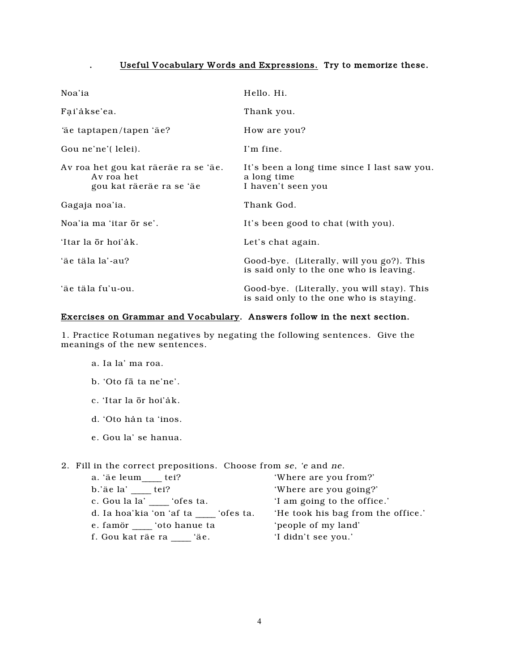## Useful Vocabulary Words and Expressions. Try to memorize these.

| Noa'ia                                                                         | Hello. Hi.                                                                            |
|--------------------------------------------------------------------------------|---------------------------------------------------------------------------------------|
| Fai'akse'ea.                                                                   | Thank you.                                                                            |
| 'äe taptapen/tapen 'äe?                                                        | How are you?                                                                          |
| Gou ne'ne'( lelei).                                                            | I'm fine.                                                                             |
| Av roa het gou kat räeräe ra se 'äe.<br>Av roa het<br>gou kat räeräe ra se 'äe | It's been a long time since I last saw you.<br>a long time<br>I haven't seen you      |
| Gagaja noa'ia.                                                                 | Thank God.                                                                            |
| Noa'ia ma 'itar <del>or</del> se'.                                             | It's been good to chat (with you).                                                    |
| 'Itar la ōr hoi'åk.                                                            | Let's chat again.                                                                     |
| 'äe täla la'-au?                                                               | Good-bye. (Literally, will you go?). This<br>is said only to the one who is leaving.  |
| 'äe täla fu'u-ou.                                                              | Good-bye. (Literally, you will stay). This<br>is said only to the one who is staying. |

### Exercises on Grammar and Vocabulary. Answers follow in the next section.

1. Practice Rotuman negatives by negating the following sentences. Give the meanings of the new sentences.

a. Ia la' ma roa.

 $\ddot{\phantom{a}}$ 

- b. 'Oto fā ta ne'ne'.
- c. 'Itar la ōr hoi'ak.
- d. 'Oto hản ta 'inos.
- e. Gou la' se hanua.

2. Fill in the correct prepositions. Choose from se, 'e and ne.

| a. 'äe leum tei?                   | 'Where are you from?'              |
|------------------------------------|------------------------------------|
| b.'äe la' tei?                     | 'Where are you going?'             |
| c. Gou la la' ofes ta.             | 'I am going to the office.'        |
| d. Ia hoa'kia 'on 'af ta 'ofes ta. | 'He took his bag from the office.' |
| e. famor boto hanue ta             | 'people of my land'                |
| f. Gou kat räe ra<br>`äe.          | 'I didn't see you.'                |